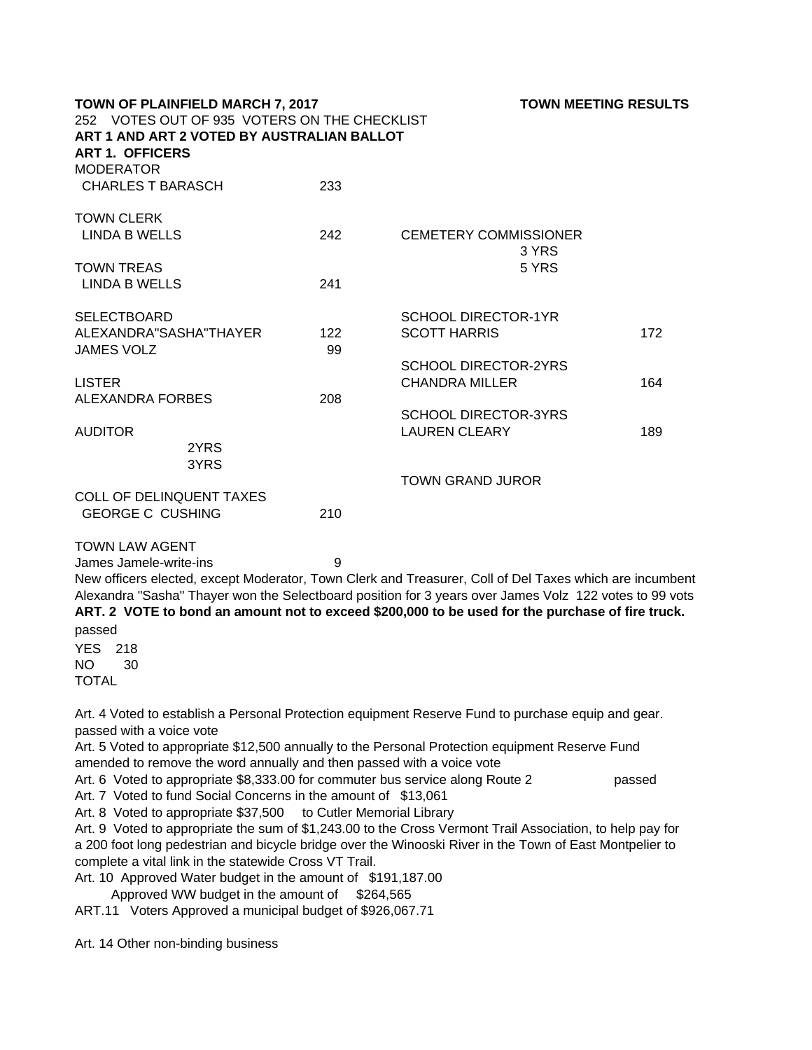| <b>TOWN OF PLAINFIELD MARCH 7, 2017</b><br>252 VOTES OUT OF 935 VOTERS ON THE CHECKLIST<br>ART 1 AND ART 2 VOTED BY AUSTRALIAN BALLOT |     | <b>TOWN MEETING RESULTS</b>                                                                             |     |
|---------------------------------------------------------------------------------------------------------------------------------------|-----|---------------------------------------------------------------------------------------------------------|-----|
| <b>ART 1. OFFICERS</b>                                                                                                                |     |                                                                                                         |     |
| <b>MODERATOR</b>                                                                                                                      |     |                                                                                                         |     |
| <b>CHARLES T BARASCH</b>                                                                                                              | 233 |                                                                                                         |     |
| <b>TOWN CLERK</b>                                                                                                                     |     |                                                                                                         |     |
| <b>LINDA B WELLS</b>                                                                                                                  | 242 | <b>CEMETERY COMMISSIONER</b>                                                                            |     |
| <b>TOWN TREAS</b>                                                                                                                     |     | 3 YRS<br>5 YRS                                                                                          |     |
| <b>LINDA B WELLS</b>                                                                                                                  | 241 |                                                                                                         |     |
|                                                                                                                                       |     |                                                                                                         |     |
| <b>SELECTBOARD</b>                                                                                                                    |     | <b>SCHOOL DIRECTOR-1YR</b>                                                                              |     |
| ALEXANDRA"SASHA"THAYER                                                                                                                | 122 | <b>SCOTT HARRIS</b>                                                                                     | 172 |
| <b>JAMES VOLZ</b>                                                                                                                     | 99  | <b>SCHOOL DIRECTOR-2YRS</b>                                                                             |     |
| <b>LISTER</b>                                                                                                                         |     | <b>CHANDRA MILLER</b>                                                                                   | 164 |
| <b>ALEXANDRA FORBES</b>                                                                                                               | 208 |                                                                                                         |     |
|                                                                                                                                       |     | <b>SCHOOL DIRECTOR-3YRS</b>                                                                             |     |
| <b>AUDITOR</b>                                                                                                                        |     | <b>LAUREN CLEARY</b>                                                                                    | 189 |
| 2YRS                                                                                                                                  |     |                                                                                                         |     |
| 3YRS                                                                                                                                  |     |                                                                                                         |     |
| <b>COLL OF DELINQUENT TAXES</b>                                                                                                       |     | <b>TOWN GRAND JUROR</b>                                                                                 |     |
| <b>GEORGE C CUSHING</b>                                                                                                               | 210 |                                                                                                         |     |
|                                                                                                                                       |     |                                                                                                         |     |
| <b>TOWN LAW AGENT</b>                                                                                                                 |     |                                                                                                         |     |
| James Jamele-write-ins                                                                                                                | 9   |                                                                                                         |     |
|                                                                                                                                       |     | New officers elected, except Moderator, Town Clerk and Treasurer, Coll of Del Taxes which are incumbent |     |
|                                                                                                                                       |     | Alexandra "Sasha" Thayer won the Selectboard position for 3 years over James Volz 122 votes to 99 vots  |     |
|                                                                                                                                       |     | ART. 2 VOTE to bond an amount not to exceed \$200,000 to be used for the purchase of fire truck.        |     |
| passed                                                                                                                                |     |                                                                                                         |     |
| <b>YES</b><br>218                                                                                                                     |     |                                                                                                         |     |
| <b>NO</b><br>30                                                                                                                       |     |                                                                                                         |     |
| <b>TOTAL</b>                                                                                                                          |     |                                                                                                         |     |

Art. 4 Voted to establish a Personal Protection equipment Reserve Fund to purchase equip and gear. passed with a voice vote

Art. 5 Voted to appropriate \$12,500 annually to the Personal Protection equipment Reserve Fund amended to remove the word annually and then passed with a voice vote

Art. 6 Voted to appropriate \$8,333.00 for commuter bus service along Route 2 passed

Art. 7 Voted to fund Social Concerns in the amount of \$13,061 Art. 8 Voted to appropriate \$37,500 to Cutler Memorial Library

Art. 9 Voted to appropriate the sum of \$1,243.00 to the Cross Vermont Trail Association, to help pay for a 200 foot long pedestrian and bicycle bridge over the Winooski River in the Town of East Montpelier to complete a vital link in the statewide Cross VT Trail.

Art. 10 Approved Water budget in the amount of \$191,187.00

Approved WW budget in the amount of \$264,565

ART.11 Voters Approved a municipal budget of \$926,067.71

Art. 14 Other non-binding business